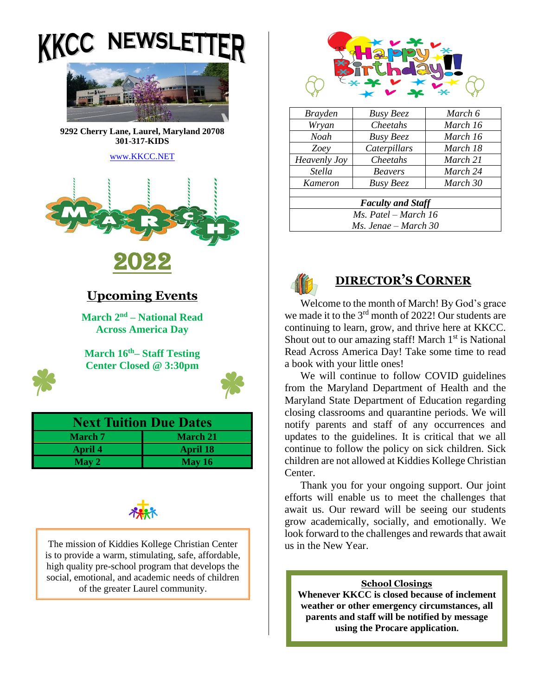



**9292 Cherry Lane, Laurel, Maryland 20708 301-317-KIDS** 

#### [www.KKCC.NET](http://www.kkcc.net/)



2022

# **Upcoming Events**

**March 2nd – National Read Across America Day**

**March 16th– Staff Testing Center Closed @ 3:30pm**



| <b>Next Tuition Due Dates</b> |                 |  |
|-------------------------------|-----------------|--|
| <b>March</b> 7                | <b>March 21</b> |  |
| April 4                       | <b>April 18</b> |  |
| May 2                         | May 16          |  |



The mission of Kiddies Kollege Christian Center is to provide a warm, stimulating, safe, affordable, high quality pre-school program that develops the social, emotional, and academic needs of children of the greater Laurel community.



| <b>Brayden</b>           | <b>Busy Beez</b> | March 6  |
|--------------------------|------------------|----------|
| Wryan                    | Cheetahs         | March 16 |
| Noah                     | <b>Busy Beez</b> | March 16 |
| Zoey                     | Caterpillars     | March 18 |
| Heavenly Joy             | Cheetahs         | March 21 |
| <i>Stella</i>            | <b>Beavers</b>   | March 24 |
| Kameron                  | <b>Busy Beez</b> | March 30 |
|                          |                  |          |
| <b>Faculty and Staff</b> |                  |          |
| Ms. Patel - March 16     |                  |          |
| Ms. Jenae – March 30     |                  |          |



## **DIRECTOR'S CORNER**

Welcome to the month of March! By God's grace we made it to the 3<sup>rd</sup> month of 2022! Our students are continuing to learn, grow, and thrive here at KKCC. Shout out to our amazing staff! March  $1<sup>st</sup>$  is National Read Across America Day! Take some time to read a book with your little ones!

We will continue to follow COVID guidelines from the Maryland Department of Health and the Maryland State Department of Education regarding closing classrooms and quarantine periods. We will notify parents and staff of any occurrences and updates to the guidelines. It is critical that we all continue to follow the policy on sick children. Sick children are not allowed at Kiddies Kollege Christian Center.

Thank you for your ongoing support. Our joint efforts will enable us to meet the challenges that await us. Our reward will be seeing our students grow academically, socially, and emotionally. We look forward to the challenges and rewards that await us in the New Year.

#### **School Closings**

**Whenever KKCC is closed because of inclement weather or other emergency circumstances, all parents and staff will be notified by message using the Procare application.**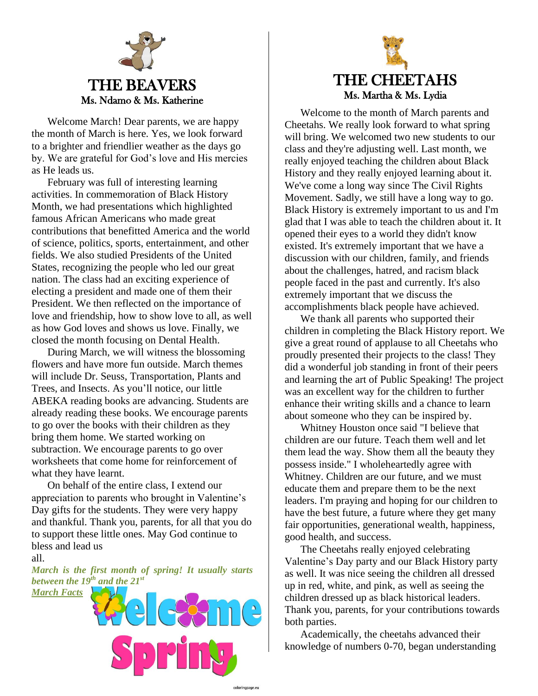

Welcome March! Dear parents, we are happy the month of March is here. Yes, we look forward to a brighter and friendlier weather as the days go by. We are grateful for God's love and His mercies as He leads us.

February was full of interesting learning activities. In commemoration of Black History Month, we had presentations which highlighted famous African Americans who made great contributions that benefitted America and the world of science, politics, sports, entertainment, and other fields. We also studied Presidents of the United States, recognizing the people who led our great nation. The class had an exciting experience of electing a president and made one of them their President. We then reflected on the importance of love and friendship, how to show love to all, as well as how God loves and shows us love. Finally, we closed the month focusing on Dental Health.

During March, we will witness the blossoming flowers and have more fun outside. March themes will include Dr. Seuss, Transportation, Plants and Trees, and Insects. As you'll notice, our little ABEKA reading books are advancing. Students are already reading these books. We encourage parents to go over the books with their children as they bring them home. We started working on subtraction. We encourage parents to go over worksheets that come home for reinforcement of what they have learnt.

On behalf of the entire class, I extend our appreciation to parents who brought in Valentine's Day gifts for the students. They were very happy and thankful. Thank you, parents, for all that you do to support these little ones. May God continue to bless and lead us all.

*March is the first month of spring! It usually starts between the 19th and the 21st [March Facts](https://www.thefactsite.com/march-facts/)*





Welcome to the month of March parents and Cheetahs. We really look forward to what spring will bring. We welcomed two new students to our class and they're adjusting well. Last month, we really enjoyed teaching the children about Black History and they really enjoyed learning about it. We've come a long way since The Civil Rights Movement. Sadly, we still have a long way to go. Black History is extremely important to us and I'm glad that I was able to teach the children about it. It opened their eyes to a world they didn't know existed. It's extremely important that we have a discussion with our children, family, and friends about the challenges, hatred, and racism black people faced in the past and currently. It's also extremely important that we discuss the accomplishments black people have achieved.

We thank all parents who supported their children in completing the Black History report. We give a great round of applause to all Cheetahs who proudly presented their projects to the class! They did a wonderful job standing in front of their peers and learning the art of Public Speaking! The project was an excellent way for the children to further enhance their writing skills and a chance to learn about someone who they can be inspired by.

Whitney Houston once said "I believe that children are our future. Teach them well and let them lead the way. Show them all the beauty they possess inside." I wholeheartedly agree with Whitney. Children are our future, and we must educate them and prepare them to be the next leaders. I'm praying and hoping for our children to have the best future, a future where they get many fair opportunities, generational wealth, happiness, good health, and success.

The Cheetahs really enjoyed celebrating Valentine's Day party and our Black History party as well. It was nice seeing the children all dressed up in red, white, and pink, as well as seeing the children dressed up as black historical leaders. Thank you, parents, for your contributions towards both parties.

Academically, the cheetahs advanced their knowledge of numbers 0-70, began understanding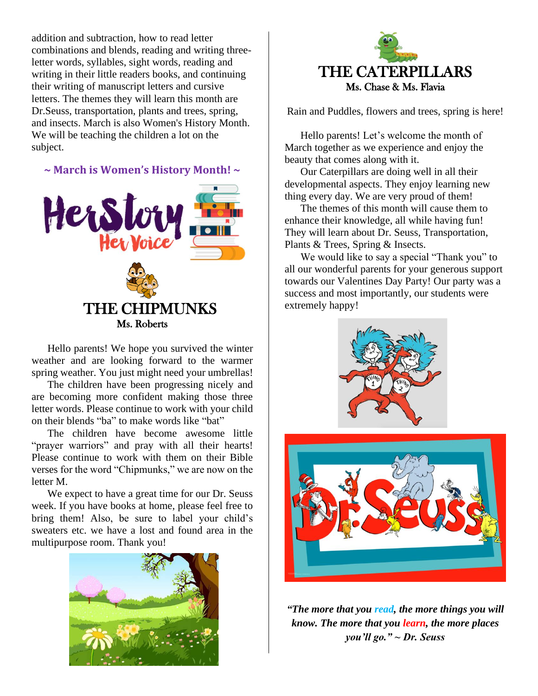addition and subtraction, how to read letter combinations and blends, reading and writing threeletter words, syllables, sight words, reading and writing in their little readers books, and continuing their writing of manuscript letters and cursive letters. The themes they will learn this month are Dr.Seuss, transportation, plants and trees, spring, and insects. March is also Women's History Month. We will be teaching the children a lot on the subject.

### **~ March is Women's History Month! ~**



Hello parents! We hope you survived the winter weather and are looking forward to the warmer spring weather. You just might need your umbrellas!

The children have been progressing nicely and are becoming more confident making those three letter words. Please continue to work with your child on their blends "ba" to make words like "bat"

The children have become awesome little "prayer warriors" and pray with all their hearts! Please continue to work with them on their Bible verses for the word "Chipmunks," we are now on the letter M.

We expect to have a great time for our Dr. Seuss week. If you have books at home, please feel free to bring them! Also, be sure to label your child's sweaters etc. we have a lost and found area in the multipurpose room. Thank you!





Rain and Puddles, flowers and trees, spring is here!

Hello parents! Let's welcome the month of March together as we experience and enjoy the beauty that comes along with it.

Our Caterpillars are doing well in all their developmental aspects. They enjoy learning new thing every day. We are very proud of them!

The themes of this month will cause them to enhance their knowledge, all while having fun! They will learn about Dr. Seuss, Transportation, Plants & Trees, Spring & Insects.

We would like to say a special "Thank you" to all our wonderful parents for your generous support towards our Valentines Day Party! Our party was a success and most importantly, our students were extremely happy!





*"The more that you read, the more things you will know. The more that you learn, the more places you'll go." ~ Dr. Seuss*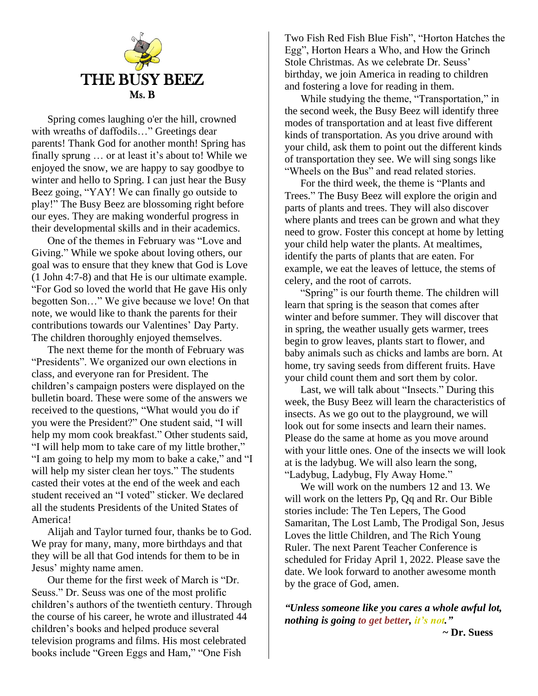

Spring comes laughing o'er the hill, crowned with wreaths of daffodils..." Greetings dear parents! Thank God for another month! Spring has finally sprung … or at least it's about to! While we enjoyed the snow, we are happy to say goodbye to winter and hello to Spring. I can just hear the Busy Beez going, "YAY! We can finally go outside to play!" The Busy Beez are blossoming right before our eyes. They are making wonderful progress in their developmental skills and in their academics.

One of the themes in February was "Love and Giving." While we spoke about loving others, our goal was to ensure that they knew that God is Love (1 John 4:7-8) and that He is our ultimate example. "For God so loved the world that He gave His only begotten Son…" We give because we love! On that note, we would like to thank the parents for their contributions towards our Valentines' Day Party. The children thoroughly enjoyed themselves.

The next theme for the month of February was "Presidents". We organized our own elections in class, and everyone ran for President. The children's campaign posters were displayed on the bulletin board. These were some of the answers we received to the questions, "What would you do if you were the President?" One student said, "I will help my mom cook breakfast." Other students said, "I will help mom to take care of my little brother," "I am going to help my mom to bake a cake," and "I will help my sister clean her toys." The students casted their votes at the end of the week and each student received an "I voted" sticker. We declared all the students Presidents of the United States of America!

Alijah and Taylor turned four, thanks be to God. We pray for many, many, more birthdays and that they will be all that God intends for them to be in Jesus' mighty name amen.

Our theme for the first week of March is "Dr. Seuss." Dr. Seuss was one of the most prolific children's authors of the twentieth century. Through the course of his career, he wrote and illustrated 44 children's books and helped produce several television programs and films. His most celebrated books include "Green Eggs and Ham," "One Fish

Two Fish Red Fish Blue Fish", "Horton Hatches the Egg", Horton Hears a Who, and How the Grinch Stole Christmas. As we celebrate Dr. Seuss' birthday, we join America in reading to children and fostering a love for reading in them.

While studying the theme, "Transportation," in the second week, the Busy Beez will identify three modes of transportation and at least five different kinds of transportation. As you drive around with your child, ask them to point out the different kinds of transportation they see. We will sing songs like "Wheels on the Bus" and read related stories.

For the third week, the theme is "Plants and Trees." The Busy Beez will explore the origin and parts of plants and trees. They will also discover where plants and trees can be grown and what they need to grow. Foster this concept at home by letting your child help water the plants. At mealtimes, identify the parts of plants that are eaten. For example, we eat the leaves of lettuce, the stems of celery, and the root of carrots.

"Spring" is our fourth theme. The children will learn that spring is the season that comes after winter and before summer. They will discover that in spring, the weather usually gets warmer, trees begin to grow leaves, plants start to flower, and baby animals such as chicks and lambs are born. At home, try saving seeds from different fruits. Have your child count them and sort them by color.

Last, we will talk about "Insects." During this week, the Busy Beez will learn the characteristics of insects. As we go out to the playground, we will look out for some insects and learn their names. Please do the same at home as you move around with your little ones. One of the insects we will look at is the ladybug. We will also learn the song, "Ladybug, Ladybug, Fly Away Home."

We will work on the numbers 12 and 13. We will work on the letters Pp, Qq and Rr. Our Bible stories include: The Ten Lepers, The Good Samaritan, The Lost Lamb, The Prodigal Son, Jesus Loves the little Children, and The Rich Young Ruler. The next Parent Teacher Conference is scheduled for Friday April 1, 2022. Please save the date. We look forward to another awesome month by the grace of God, amen.

*"Unless someone like you cares a whole awful lot, nothing is going to get better, it's not."* 

**~ Dr. Suess**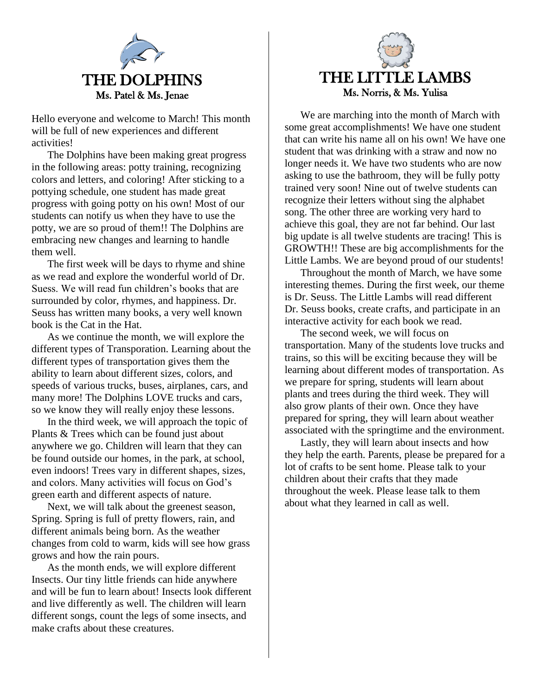

Hello everyone and welcome to March! This month will be full of new experiences and different activities!

The Dolphins have been making great progress in the following areas: potty training, recognizing colors and letters, and coloring! After sticking to a pottying schedule, one student has made great progress with going potty on his own! Most of our students can notify us when they have to use the potty, we are so proud of them!! The Dolphins are embracing new changes and learning to handle them well.

The first week will be days to rhyme and shine as we read and explore the wonderful world of Dr. Suess. We will read fun children's books that are surrounded by color, rhymes, and happiness. Dr. Seuss has written many books, a very well known book is the Cat in the Hat.

As we continue the month, we will explore the different types of Transporation. Learning about the different types of transportation gives them the ability to learn about different sizes, colors, and speeds of various trucks, buses, airplanes, cars, and many more! The Dolphins LOVE trucks and cars, so we know they will really enjoy these lessons.

In the third week, we will approach the topic of Plants & Trees which can be found just about anywhere we go. Children will learn that they can be found outside our homes, in the park, at school, even indoors! Trees vary in different shapes, sizes, and colors. Many activities will focus on God's green earth and different aspects of nature.

Next, we will talk about the greenest season, Spring. Spring is full of pretty flowers, rain, and different animals being born. As the weather changes from cold to warm, kids will see how grass grows and how the rain pours.

As the month ends, we will explore different Insects. Our tiny little friends can hide anywhere and will be fun to learn about! Insects look different and live differently as well. The children will learn different songs, count the legs of some insects, and make crafts about these creatures.



We are marching into the month of March with some great accomplishments! We have one student that can write his name all on his own! We have one student that was drinking with a straw and now no longer needs it. We have two students who are now asking to use the bathroom, they will be fully potty trained very soon! Nine out of twelve students can recognize their letters without sing the alphabet song. The other three are working very hard to achieve this goal, they are not far behind. Our last big update is all twelve students are tracing! This is GROWTH!! These are big accomplishments for the Little Lambs. We are beyond proud of our students!

Throughout the month of March, we have some interesting themes. During the first week, our theme is Dr. Seuss. The Little Lambs will read different Dr. Seuss books, create crafts, and participate in an interactive activity for each book we read.

The second week, we will focus on transportation. Many of the students love trucks and trains, so this will be exciting because they will be learning about different modes of transportation. As we prepare for spring, students will learn about plants and trees during the third week. They will also grow plants of their own. Once they have prepared for spring, they will learn about weather associated with the springtime and the environment.

Lastly, they will learn about insects and how they help the earth. Parents, please be prepared for a lot of crafts to be sent home. Please talk to your children about their crafts that they made throughout the week. Please lease talk to them about what they learned in call as well.